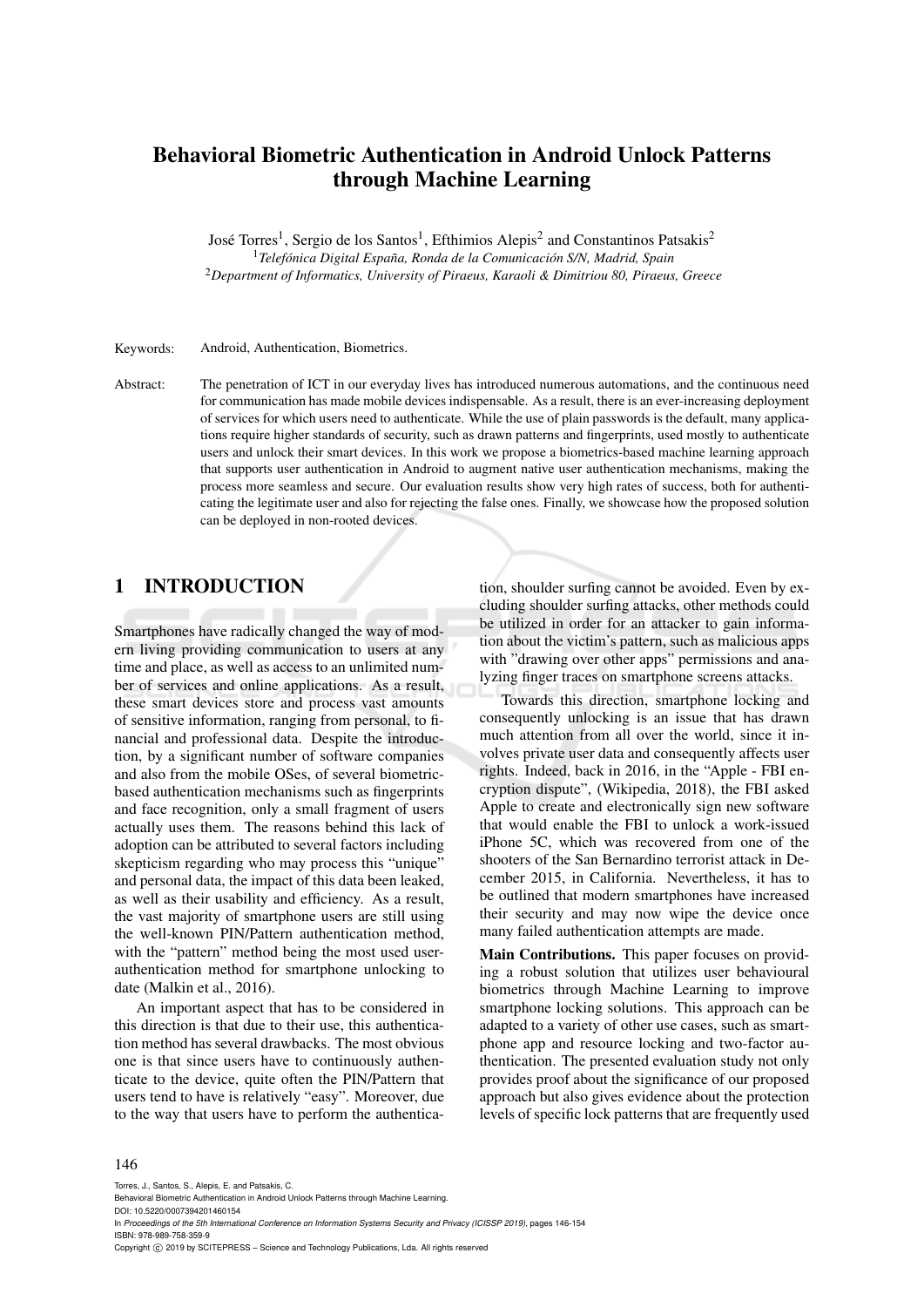# Behavioral Biometric Authentication in Android Unlock Patterns through Machine Learning

José Torres<sup>1</sup>, Sergio de los Santos<sup>1</sup>, Efthimios Alepis<sup>2</sup> and Constantinos Patsakis<sup>2</sup> <sup>1</sup>*Telefónica Digital España, Ronda de la Comunicación S/N, Madrid, Spain* <sup>2</sup>*Department of Informatics, University of Piraeus, Karaoli & Dimitriou 80, Piraeus, Greece*

Keywords: Android, Authentication, Biometrics.

Abstract: The penetration of ICT in our everyday lives has introduced numerous automations, and the continuous need for communication has made mobile devices indispensable. As a result, there is an ever-increasing deployment of services for which users need to authenticate. While the use of plain passwords is the default, many applications require higher standards of security, such as drawn patterns and fingerprints, used mostly to authenticate users and unlock their smart devices. In this work we propose a biometrics-based machine learning approach that supports user authentication in Android to augment native user authentication mechanisms, making the process more seamless and secure. Our evaluation results show very high rates of success, both for authenticating the legitimate user and also for rejecting the false ones. Finally, we showcase how the proposed solution can be deployed in non-rooted devices.

# 1 INTRODUCTION

Smartphones have radically changed the way of modern living providing communication to users at any time and place, as well as access to an unlimited number of services and online applications. As a result, these smart devices store and process vast amounts of sensitive information, ranging from personal, to financial and professional data. Despite the introduction, by a significant number of software companies and also from the mobile OSes, of several biometricbased authentication mechanisms such as fingerprints and face recognition, only a small fragment of users actually uses them. The reasons behind this lack of adoption can be attributed to several factors including skepticism regarding who may process this "unique" and personal data, the impact of this data been leaked, as well as their usability and efficiency. As a result, the vast majority of smartphone users are still using the well-known PIN/Pattern authentication method, with the "pattern" method being the most used userauthentication method for smartphone unlocking to date (Malkin et al., 2016).

An important aspect that has to be considered in this direction is that due to their use, this authentication method has several drawbacks. The most obvious one is that since users have to continuously authenticate to the device, quite often the PIN/Pattern that users tend to have is relatively "easy". Moreover, due to the way that users have to perform the authentication, shoulder surfing cannot be avoided. Even by excluding shoulder surfing attacks, other methods could be utilized in order for an attacker to gain information about the victim's pattern, such as malicious apps with "drawing over other apps" permissions and analyzing finger traces on smartphone screens attacks.

Towards this direction, smartphone locking and consequently unlocking is an issue that has drawn much attention from all over the world, since it involves private user data and consequently affects user rights. Indeed, back in 2016, in the "Apple - FBI encryption dispute", (Wikipedia, 2018), the FBI asked Apple to create and electronically sign new software that would enable the FBI to unlock a work-issued iPhone 5C, which was recovered from one of the shooters of the San Bernardino terrorist attack in December 2015, in California. Nevertheless, it has to be outlined that modern smartphones have increased their security and may now wipe the device once many failed authentication attempts are made.

Main Contributions. This paper focuses on providing a robust solution that utilizes user behavioural biometrics through Machine Learning to improve smartphone locking solutions. This approach can be adapted to a variety of other use cases, such as smartphone app and resource locking and two-factor authentication. The presented evaluation study not only provides proof about the significance of our proposed approach but also gives evidence about the protection levels of specific lock patterns that are frequently used

#### 146

Torres, J., Santos, S., Alepis, E. and Patsakis, C.

Behavioral Biometric Authentication in Android Unlock Patterns through Machine Learning.

DOI: 10.5220/0007394201460154

In *Proceedings of the 5th International Conference on Information Systems Security and Privacy (ICISSP 2019)*, pages 146-154 ISBN: 978-989-758-359-9

Copyright  $\odot$  2019 by SCITEPRESS - Science and Technology Publications, Lda. All rights reserved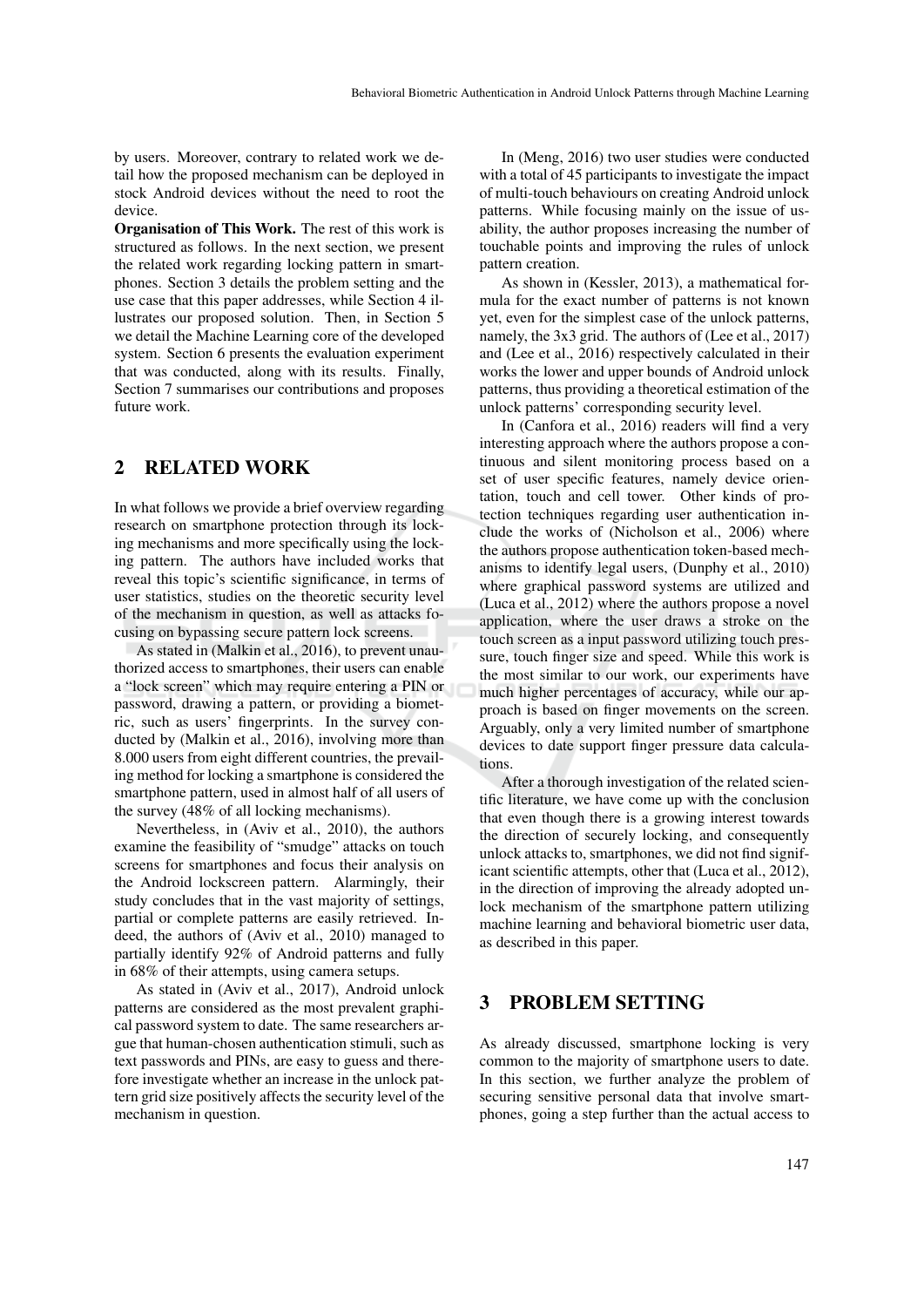by users. Moreover, contrary to related work we detail how the proposed mechanism can be deployed in stock Android devices without the need to root the device.

Organisation of This Work. The rest of this work is structured as follows. In the next section, we present the related work regarding locking pattern in smartphones. Section 3 details the problem setting and the use case that this paper addresses, while Section 4 illustrates our proposed solution. Then, in Section 5 we detail the Machine Learning core of the developed system. Section 6 presents the evaluation experiment that was conducted, along with its results. Finally, Section 7 summarises our contributions and proposes future work.

# 2 RELATED WORK

In what follows we provide a brief overview regarding research on smartphone protection through its locking mechanisms and more specifically using the locking pattern. The authors have included works that reveal this topic's scientific significance, in terms of user statistics, studies on the theoretic security level of the mechanism in question, as well as attacks focusing on bypassing secure pattern lock screens.

As stated in (Malkin et al., 2016), to prevent unauthorized access to smartphones, their users can enable a "lock screen" which may require entering a PIN or password, drawing a pattern, or providing a biometric, such as users' fingerprints. In the survey conducted by (Malkin et al., 2016), involving more than 8.000 users from eight different countries, the prevailing method for locking a smartphone is considered the smartphone pattern, used in almost half of all users of the survey (48% of all locking mechanisms).

Nevertheless, in (Aviv et al., 2010), the authors examine the feasibility of "smudge" attacks on touch screens for smartphones and focus their analysis on the Android lockscreen pattern. Alarmingly, their study concludes that in the vast majority of settings, partial or complete patterns are easily retrieved. Indeed, the authors of (Aviv et al., 2010) managed to partially identify 92% of Android patterns and fully in 68% of their attempts, using camera setups.

As stated in (Aviv et al., 2017), Android unlock patterns are considered as the most prevalent graphical password system to date. The same researchers argue that human-chosen authentication stimuli, such as text passwords and PINs, are easy to guess and therefore investigate whether an increase in the unlock pattern grid size positively affects the security level of the mechanism in question.

In (Meng, 2016) two user studies were conducted with a total of 45 participants to investigate the impact of multi-touch behaviours on creating Android unlock patterns. While focusing mainly on the issue of usability, the author proposes increasing the number of touchable points and improving the rules of unlock pattern creation.

As shown in (Kessler, 2013), a mathematical formula for the exact number of patterns is not known yet, even for the simplest case of the unlock patterns, namely, the 3x3 grid. The authors of (Lee et al., 2017) and (Lee et al., 2016) respectively calculated in their works the lower and upper bounds of Android unlock patterns, thus providing a theoretical estimation of the unlock patterns' corresponding security level.

In (Canfora et al., 2016) readers will find a very interesting approach where the authors propose a continuous and silent monitoring process based on a set of user specific features, namely device orientation, touch and cell tower. Other kinds of protection techniques regarding user authentication include the works of (Nicholson et al., 2006) where the authors propose authentication token-based mechanisms to identify legal users, (Dunphy et al., 2010) where graphical password systems are utilized and (Luca et al., 2012) where the authors propose a novel application, where the user draws a stroke on the touch screen as a input password utilizing touch pressure, touch finger size and speed. While this work is the most similar to our work, our experiments have much higher percentages of accuracy, while our approach is based on finger movements on the screen. Arguably, only a very limited number of smartphone devices to date support finger pressure data calculations.

After a thorough investigation of the related scientific literature, we have come up with the conclusion that even though there is a growing interest towards the direction of securely locking, and consequently unlock attacks to, smartphones, we did not find significant scientific attempts, other that (Luca et al., 2012), in the direction of improving the already adopted unlock mechanism of the smartphone pattern utilizing machine learning and behavioral biometric user data, as described in this paper.

### 3 PROBLEM SETTING

As already discussed, smartphone locking is very common to the majority of smartphone users to date. In this section, we further analyze the problem of securing sensitive personal data that involve smartphones, going a step further than the actual access to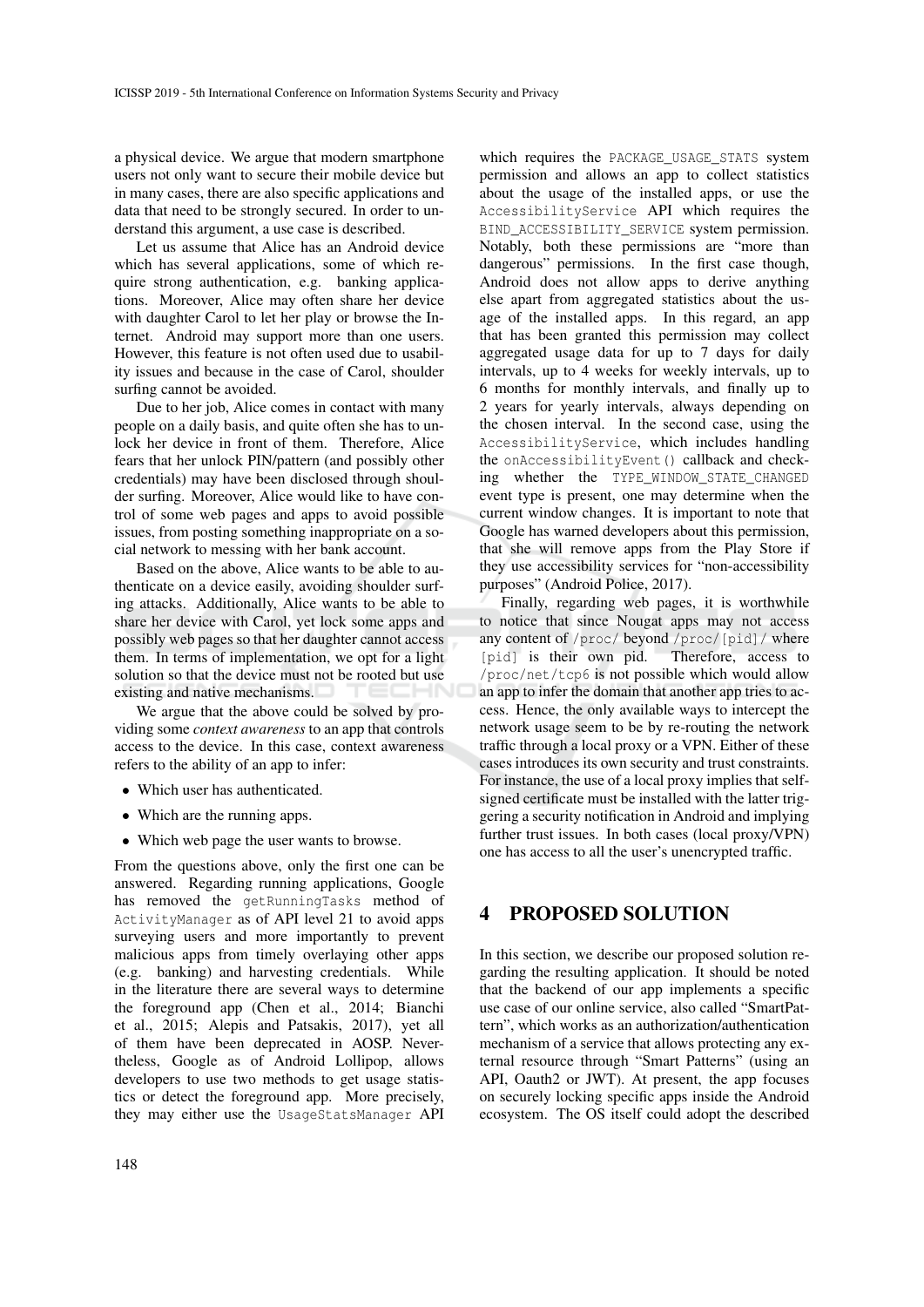a physical device. We argue that modern smartphone users not only want to secure their mobile device but in many cases, there are also specific applications and data that need to be strongly secured. In order to understand this argument, a use case is described.

Let us assume that Alice has an Android device which has several applications, some of which require strong authentication, e.g. banking applications. Moreover, Alice may often share her device with daughter Carol to let her play or browse the Internet. Android may support more than one users. However, this feature is not often used due to usability issues and because in the case of Carol, shoulder surfing cannot be avoided.

Due to her job, Alice comes in contact with many people on a daily basis, and quite often she has to unlock her device in front of them. Therefore, Alice fears that her unlock PIN/pattern (and possibly other credentials) may have been disclosed through shoulder surfing. Moreover, Alice would like to have control of some web pages and apps to avoid possible issues, from posting something inappropriate on a social network to messing with her bank account.

Based on the above, Alice wants to be able to authenticate on a device easily, avoiding shoulder surfing attacks. Additionally, Alice wants to be able to share her device with Carol, yet lock some apps and possibly web pages so that her daughter cannot access them. In terms of implementation, we opt for a light solution so that the device must not be rooted but use existing and native mechanisms.

We argue that the above could be solved by providing some *context awareness* to an app that controls access to the device. In this case, context awareness refers to the ability of an app to infer:

- Which user has authenticated.
- Which are the running apps.
- Which web page the user wants to browse.

From the questions above, only the first one can be answered. Regarding running applications, Google has removed the getRunningTasks method of ActivityManager as of API level 21 to avoid apps surveying users and more importantly to prevent malicious apps from timely overlaying other apps (e.g. banking) and harvesting credentials. While in the literature there are several ways to determine the foreground app (Chen et al., 2014; Bianchi et al., 2015; Alepis and Patsakis, 2017), yet all of them have been deprecated in AOSP. Nevertheless, Google as of Android Lollipop, allows developers to use two methods to get usage statistics or detect the foreground app. More precisely, they may either use the UsageStatsManager API

which requires the PACKAGE\_USAGE\_STATS system permission and allows an app to collect statistics about the usage of the installed apps, or use the AccessibilityService API which requires the BIND\_ACCESSIBILITY\_SERVICE system permission. Notably, both these permissions are "more than dangerous" permissions. In the first case though, Android does not allow apps to derive anything else apart from aggregated statistics about the usage of the installed apps. In this regard, an app that has been granted this permission may collect aggregated usage data for up to 7 days for daily intervals, up to 4 weeks for weekly intervals, up to 6 months for monthly intervals, and finally up to 2 years for yearly intervals, always depending on the chosen interval. In the second case, using the AccessibilityService, which includes handling the onAccessibilityEvent() callback and checking whether the TYPE\_WINDOW\_STATE\_CHANGED event type is present, one may determine when the current window changes. It is important to note that Google has warned developers about this permission, that she will remove apps from the Play Store if they use accessibility services for "non-accessibility purposes" (Android Police, 2017).

Finally, regarding web pages, it is worthwhile to notice that since Nougat apps may not access any content of /proc/ beyond /proc/[pid]/ where<br>[pid] is their own pid. Therefore, access to [pid] is their own pid. /proc/net/tcp6 is not possible which would allow an app to infer the domain that another app tries to access. Hence, the only available ways to intercept the network usage seem to be by re-routing the network traffic through a local proxy or a VPN. Either of these cases introduces its own security and trust constraints. For instance, the use of a local proxy implies that selfsigned certificate must be installed with the latter triggering a security notification in Android and implying further trust issues. In both cases (local proxy/VPN) one has access to all the user's unencrypted traffic.

# 4 PROPOSED SOLUTION

In this section, we describe our proposed solution regarding the resulting application. It should be noted that the backend of our app implements a specific use case of our online service, also called "SmartPattern", which works as an authorization/authentication mechanism of a service that allows protecting any external resource through "Smart Patterns" (using an API, Oauth2 or JWT). At present, the app focuses on securely locking specific apps inside the Android ecosystem. The OS itself could adopt the described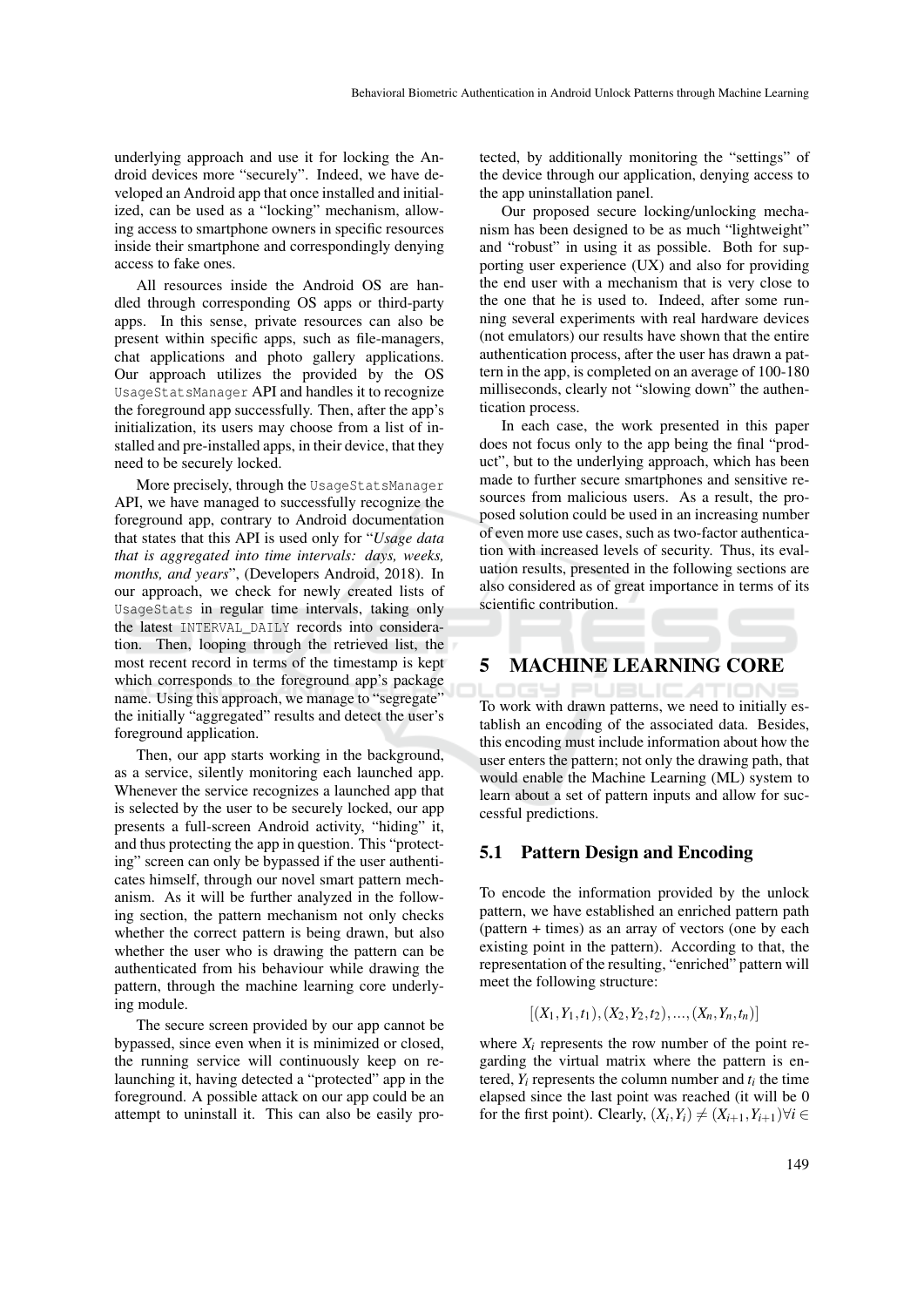underlying approach and use it for locking the Android devices more "securely". Indeed, we have developed an Android app that once installed and initialized, can be used as a "locking" mechanism, allowing access to smartphone owners in specific resources inside their smartphone and correspondingly denying access to fake ones.

All resources inside the Android OS are handled through corresponding OS apps or third-party apps. In this sense, private resources can also be present within specific apps, such as file-managers, chat applications and photo gallery applications. Our approach utilizes the provided by the OS UsageStatsManager API and handles it to recognize the foreground app successfully. Then, after the app's initialization, its users may choose from a list of installed and pre-installed apps, in their device, that they need to be securely locked.

More precisely, through the UsageStatsManager API, we have managed to successfully recognize the foreground app, contrary to Android documentation that states that this API is used only for "*Usage data that is aggregated into time intervals: days, weeks, months, and years*", (Developers Android, 2018). In our approach, we check for newly created lists of UsageStats in regular time intervals, taking only the latest INTERVAL\_DAILY records into consideration. Then, looping through the retrieved list, the most recent record in terms of the timestamp is kept which corresponds to the foreground app's package name. Using this approach, we manage to "segregate" the initially "aggregated" results and detect the user's foreground application.

Then, our app starts working in the background, as a service, silently monitoring each launched app. Whenever the service recognizes a launched app that is selected by the user to be securely locked, our app presents a full-screen Android activity, "hiding" it, and thus protecting the app in question. This "protecting" screen can only be bypassed if the user authenticates himself, through our novel smart pattern mechanism. As it will be further analyzed in the following section, the pattern mechanism not only checks whether the correct pattern is being drawn, but also whether the user who is drawing the pattern can be authenticated from his behaviour while drawing the pattern, through the machine learning core underlying module.

The secure screen provided by our app cannot be bypassed, since even when it is minimized or closed, the running service will continuously keep on relaunching it, having detected a "protected" app in the foreground. A possible attack on our app could be an attempt to uninstall it. This can also be easily protected, by additionally monitoring the "settings" of the device through our application, denying access to the app uninstallation panel.

Our proposed secure locking/unlocking mechanism has been designed to be as much "lightweight" and "robust" in using it as possible. Both for supporting user experience (UX) and also for providing the end user with a mechanism that is very close to the one that he is used to. Indeed, after some running several experiments with real hardware devices (not emulators) our results have shown that the entire authentication process, after the user has drawn a pattern in the app, is completed on an average of 100-180 milliseconds, clearly not "slowing down" the authentication process.

In each case, the work presented in this paper does not focus only to the app being the final "product", but to the underlying approach, which has been made to further secure smartphones and sensitive resources from malicious users. As a result, the proposed solution could be used in an increasing number of even more use cases, such as two-factor authentication with increased levels of security. Thus, its evaluation results, presented in the following sections are also considered as of great importance in terms of its scientific contribution.

### 5 MACHINE LEARNING CORE

**GY PI JBLICA** To work with drawn patterns, we need to initially establish an encoding of the associated data. Besides, this encoding must include information about how the user enters the pattern; not only the drawing path, that would enable the Machine Learning (ML) system to learn about a set of pattern inputs and allow for successful predictions.

### 5.1 Pattern Design and Encoding

To encode the information provided by the unlock pattern, we have established an enriched pattern path (pattern + times) as an array of vectors (one by each existing point in the pattern). According to that, the representation of the resulting, "enriched" pattern will meet the following structure:

$$
[(X_1,Y_1,t_1),(X_2,Y_2,t_2),...,(X_n,Y_n,t_n)]
$$

where  $X_i$  represents the row number of the point regarding the virtual matrix where the pattern is entered,  $Y_i$  represents the column number and  $t_i$  the time elapsed since the last point was reached (it will be 0 for the first point). Clearly,  $(X_i, Y_i) \neq (X_{i+1}, Y_{i+1}) \forall i \in$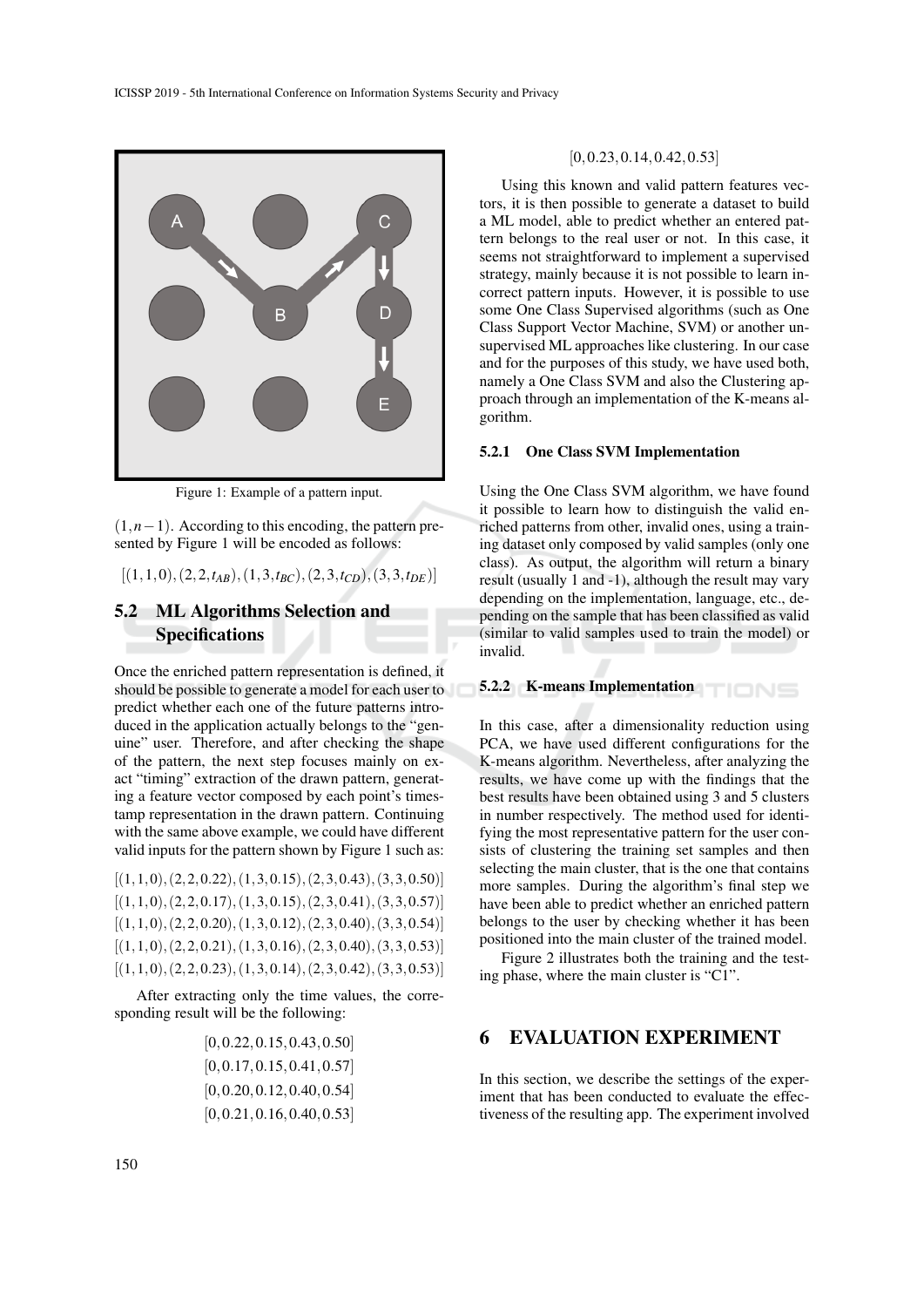

Figure 1: Example of a pattern input.

 $(1, n-1)$ . According to this encoding, the pattern presented by Figure 1 will be encoded as follows:

 $[(1,1,0),(2,2,t_{AB}),(1,3,t_{BC}),(2,3,t_{CD}),(3,3,t_{DE})]$ 

## 5.2 ML Algorithms Selection and Specifications

Once the enriched pattern representation is defined, it should be possible to generate a model for each user to predict whether each one of the future patterns introduced in the application actually belongs to the "genuine" user. Therefore, and after checking the shape of the pattern, the next step focuses mainly on exact "timing" extraction of the drawn pattern, generating a feature vector composed by each point's timestamp representation in the drawn pattern. Continuing with the same above example, we could have different valid inputs for the pattern shown by Figure 1 such as:

 $[(1,1,0), (2,2,0.22), (1,3,0.15), (2,3,0.43), (3,3,0.50)]$  $[(1,1,0), (2,2,0.17), (1,3,0.15), (2,3,0.41), (3,3,0.57)]$  $[(1,1,0), (2,2,0.20), (1,3,0.12), (2,3,0.40), (3,3,0.54)]$  $[(1,1,0), (2,2,0.21), (1,3,0.16), (2,3,0.40), (3,3,0.53)]$  $[(1,1,0), (2,2,0.23), (1,3,0.14), (2,3,0.42), (3,3,0.53)]$ 

After extracting only the time values, the corresponding result will be the following:

> $[0, 0.22, 0.15, 0.43, 0.50]$  $[0, 0.17, 0.15, 0.41, 0.57]$  $[0, 0.20, 0.12, 0.40, 0.54]$  $[0, 0.21, 0.16, 0.40, 0.53]$

#### $[0, 0.23, 0.14, 0.42, 0.53]$

Using this known and valid pattern features vectors, it is then possible to generate a dataset to build a ML model, able to predict whether an entered pattern belongs to the real user or not. In this case, it seems not straightforward to implement a supervised strategy, mainly because it is not possible to learn incorrect pattern inputs. However, it is possible to use some One Class Supervised algorithms (such as One Class Support Vector Machine, SVM) or another unsupervised ML approaches like clustering. In our case and for the purposes of this study, we have used both, namely a One Class SVM and also the Clustering approach through an implementation of the K-means algorithm.

#### 5.2.1 One Class SVM Implementation

Using the One Class SVM algorithm, we have found it possible to learn how to distinguish the valid enriched patterns from other, invalid ones, using a training dataset only composed by valid samples (only one class). As output, the algorithm will return a binary result (usually 1 and -1), although the result may vary depending on the implementation, language, etc., depending on the sample that has been classified as valid (similar to valid samples used to train the model) or invalid.

# 5.2.2 K-means Implementation

In this case, after a dimensionality reduction using PCA, we have used different configurations for the K-means algorithm. Nevertheless, after analyzing the results, we have come up with the findings that the best results have been obtained using 3 and 5 clusters in number respectively. The method used for identifying the most representative pattern for the user consists of clustering the training set samples and then selecting the main cluster, that is the one that contains more samples. During the algorithm's final step we have been able to predict whether an enriched pattern belongs to the user by checking whether it has been positioned into the main cluster of the trained model.

Figure 2 illustrates both the training and the testing phase, where the main cluster is "C1".

### 6 EVALUATION EXPERIMENT

In this section, we describe the settings of the experiment that has been conducted to evaluate the effectiveness of the resulting app. The experiment involved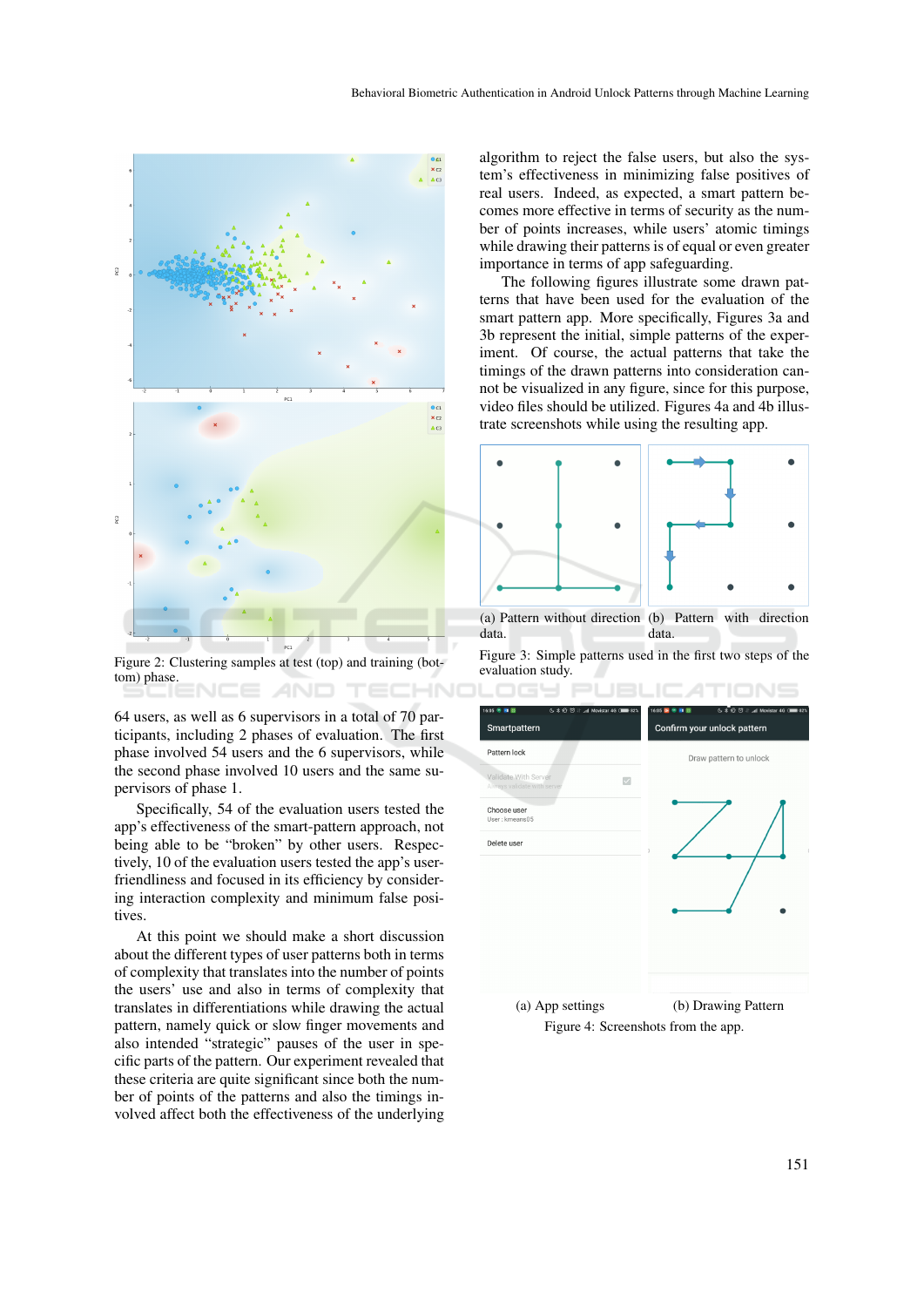

Figure 2: Clustering samples at test (top) and training (bottom) phase.

64 users, as well as 6 supervisors in a total of 70 participants, including 2 phases of evaluation. The first phase involved 54 users and the 6 supervisors, while the second phase involved 10 users and the same supervisors of phase 1.

Specifically, 54 of the evaluation users tested the app's effectiveness of the smart-pattern approach, not being able to be "broken" by other users. Respectively, 10 of the evaluation users tested the app's userfriendliness and focused in its efficiency by considering interaction complexity and minimum false positives.

At this point we should make a short discussion about the different types of user patterns both in terms of complexity that translates into the number of points the users' use and also in terms of complexity that translates in differentiations while drawing the actual pattern, namely quick or slow finger movements and also intended "strategic" pauses of the user in specific parts of the pattern. Our experiment revealed that these criteria are quite significant since both the number of points of the patterns and also the timings involved affect both the effectiveness of the underlying

algorithm to reject the false users, but also the system's effectiveness in minimizing false positives of real users. Indeed, as expected, a smart pattern becomes more effective in terms of security as the number of points increases, while users' atomic timings while drawing their patterns is of equal or even greater importance in terms of app safeguarding.

The following figures illustrate some drawn patterns that have been used for the evaluation of the smart pattern app. More specifically, Figures 3a and 3b represent the initial, simple patterns of the experiment. Of course, the actual patterns that take the timings of the drawn patterns into consideration cannot be visualized in any figure, since for this purpose, video files should be utilized. Figures 4a and 4b illustrate screenshots while using the resulting app.



(a) Pattern without direction (b) Pattern with direction data. data.

Figure 3: Simple patterns used in the first two steps of the evaluation study.

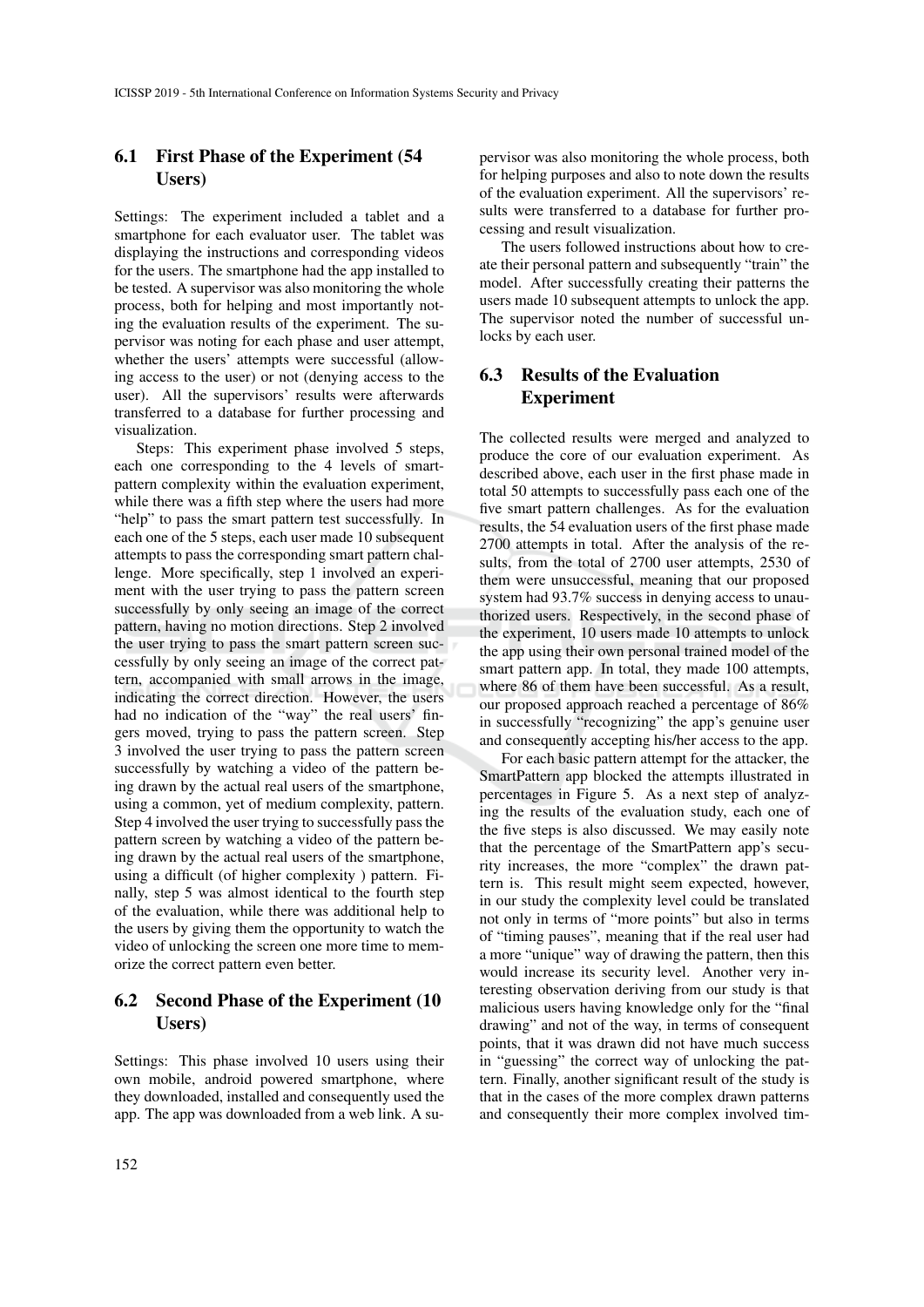### 6.1 First Phase of the Experiment (54 Users)

Settings: The experiment included a tablet and a smartphone for each evaluator user. The tablet was displaying the instructions and corresponding videos for the users. The smartphone had the app installed to be tested. A supervisor was also monitoring the whole process, both for helping and most importantly noting the evaluation results of the experiment. The supervisor was noting for each phase and user attempt, whether the users' attempts were successful (allowing access to the user) or not (denying access to the user). All the supervisors' results were afterwards transferred to a database for further processing and visualization.

Steps: This experiment phase involved 5 steps, each one corresponding to the 4 levels of smartpattern complexity within the evaluation experiment, while there was a fifth step where the users had more "help" to pass the smart pattern test successfully. In each one of the 5 steps, each user made 10 subsequent attempts to pass the corresponding smart pattern challenge. More specifically, step 1 involved an experiment with the user trying to pass the pattern screen successfully by only seeing an image of the correct pattern, having no motion directions. Step 2 involved the user trying to pass the smart pattern screen successfully by only seeing an image of the correct pattern, accompanied with small arrows in the image, indicating the correct direction. However, the users had no indication of the "way" the real users' fingers moved, trying to pass the pattern screen. Step 3 involved the user trying to pass the pattern screen successfully by watching a video of the pattern being drawn by the actual real users of the smartphone, using a common, yet of medium complexity, pattern. Step 4 involved the user trying to successfully pass the pattern screen by watching a video of the pattern being drawn by the actual real users of the smartphone, using a difficult (of higher complexity ) pattern. Finally, step 5 was almost identical to the fourth step of the evaluation, while there was additional help to the users by giving them the opportunity to watch the video of unlocking the screen one more time to memorize the correct pattern even better.

## 6.2 Second Phase of the Experiment (10 Users)

Settings: This phase involved 10 users using their own mobile, android powered smartphone, where they downloaded, installed and consequently used the app. The app was downloaded from a web link. A su-

pervisor was also monitoring the whole process, both for helping purposes and also to note down the results of the evaluation experiment. All the supervisors' results were transferred to a database for further processing and result visualization.

The users followed instructions about how to create their personal pattern and subsequently "train" the model. After successfully creating their patterns the users made 10 subsequent attempts to unlock the app. The supervisor noted the number of successful unlocks by each user.

### 6.3 Results of the Evaluation Experiment

The collected results were merged and analyzed to produce the core of our evaluation experiment. As described above, each user in the first phase made in total 50 attempts to successfully pass each one of the five smart pattern challenges. As for the evaluation results, the 54 evaluation users of the first phase made 2700 attempts in total. After the analysis of the results, from the total of 2700 user attempts, 2530 of them were unsuccessful, meaning that our proposed system had 93.7% success in denying access to unauthorized users. Respectively, in the second phase of the experiment, 10 users made 10 attempts to unlock the app using their own personal trained model of the smart pattern app. In total, they made 100 attempts, where 86 of them have been successful. As a result, our proposed approach reached a percentage of 86% in successfully "recognizing" the app's genuine user and consequently accepting his/her access to the app.

For each basic pattern attempt for the attacker, the SmartPattern app blocked the attempts illustrated in percentages in Figure 5. As a next step of analyzing the results of the evaluation study, each one of the five steps is also discussed. We may easily note that the percentage of the SmartPattern app's security increases, the more "complex" the drawn pattern is. This result might seem expected, however, in our study the complexity level could be translated not only in terms of "more points" but also in terms of "timing pauses", meaning that if the real user had a more "unique" way of drawing the pattern, then this would increase its security level. Another very interesting observation deriving from our study is that malicious users having knowledge only for the "final drawing" and not of the way, in terms of consequent points, that it was drawn did not have much success in "guessing" the correct way of unlocking the pattern. Finally, another significant result of the study is that in the cases of the more complex drawn patterns and consequently their more complex involved tim-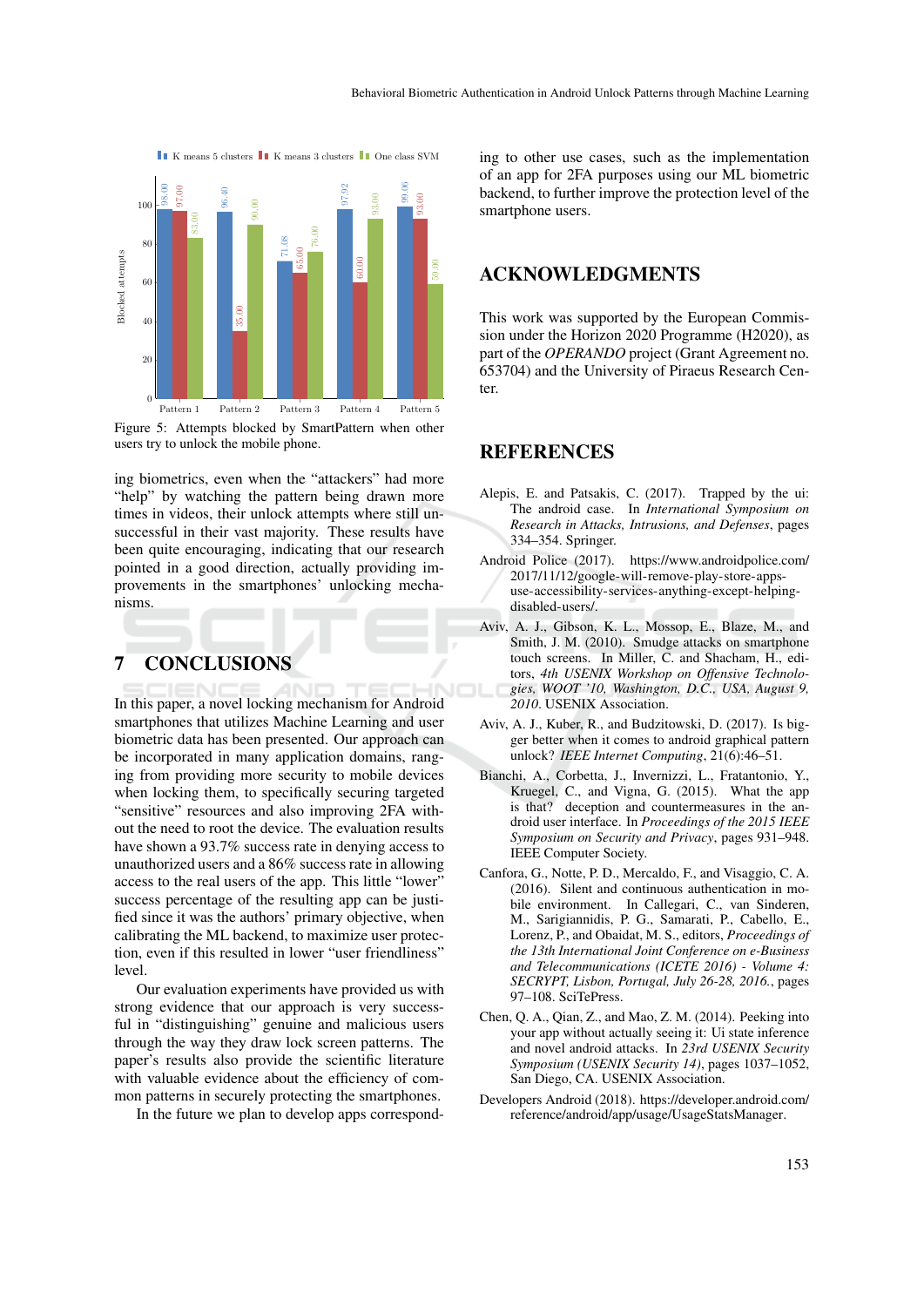

Figure 5: Attempts blocked by SmartPattern when other users try to unlock the mobile phone.

ing biometrics, even when the "attackers" had more "help" by watching the pattern being drawn more times in videos, their unlock attempts where still unsuccessful in their vast majority. These results have been quite encouraging, indicating that our research pointed in a good direction, actually providing improvements in the smartphones' unlocking mechanisms.

# 7 CONCLUSIONS

In this paper, a novel locking mechanism for Android smartphones that utilizes Machine Learning and user biometric data has been presented. Our approach can be incorporated in many application domains, ranging from providing more security to mobile devices when locking them, to specifically securing targeted "sensitive" resources and also improving 2FA without the need to root the device. The evaluation results have shown a 93.7% success rate in denying access to unauthorized users and a 86% success rate in allowing access to the real users of the app. This little "lower" success percentage of the resulting app can be justified since it was the authors' primary objective, when calibrating the ML backend, to maximize user protection, even if this resulted in lower "user friendliness" level.

Our evaluation experiments have provided us with strong evidence that our approach is very successful in "distinguishing" genuine and malicious users through the way they draw lock screen patterns. The paper's results also provide the scientific literature with valuable evidence about the efficiency of common patterns in securely protecting the smartphones.

In the future we plan to develop apps correspond-

ing to other use cases, such as the implementation of an app for 2FA purposes using our ML biometric backend, to further improve the protection level of the smartphone users.

### ACKNOWLEDGMENTS

This work was supported by the European Commission under the Horizon 2020 Programme (H2020), as part of the *OPERANDO* project (Grant Agreement no. 653704) and the University of Piraeus Research Center.

### REFERENCES

- Alepis, E. and Patsakis, C. (2017). Trapped by the ui: The android case. In *International Symposium on Research in Attacks, Intrusions, and Defenses*, pages 334–354. Springer.
- Android Police (2017). https://www.androidpolice.com/ 2017/11/12/google-will-remove-play-store-appsuse-accessibility-services-anything-except-helpingdisabled-users/.
- Aviv, A. J., Gibson, K. L., Mossop, E., Blaze, M., and Smith, J. M. (2010). Smudge attacks on smartphone touch screens. In Miller, C. and Shacham, H., editors, *4th USENIX Workshop on Offensive Technologies, WOOT '10, Washington, D.C., USA, August 9, 2010*. USENIX Association.
- Aviv, A. J., Kuber, R., and Budzitowski, D. (2017). Is bigger better when it comes to android graphical pattern unlock? *IEEE Internet Computing*, 21(6):46–51.
- Bianchi, A., Corbetta, J., Invernizzi, L., Fratantonio, Y., Kruegel, C., and Vigna, G. (2015). What the app is that? deception and countermeasures in the android user interface. In *Proceedings of the 2015 IEEE Symposium on Security and Privacy*, pages 931–948. IEEE Computer Society.
- Canfora, G., Notte, P. D., Mercaldo, F., and Visaggio, C. A. (2016). Silent and continuous authentication in mobile environment. In Callegari, C., van Sinderen, M., Sarigiannidis, P. G., Samarati, P., Cabello, E., Lorenz, P., and Obaidat, M. S., editors, *Proceedings of the 13th International Joint Conference on e-Business and Telecommunications (ICETE 2016) - Volume 4: SECRYPT, Lisbon, Portugal, July 26-28, 2016.*, pages 97–108. SciTePress.
- Chen, Q. A., Qian, Z., and Mao, Z. M. (2014). Peeking into your app without actually seeing it: Ui state inference and novel android attacks. In *23rd USENIX Security Symposium (USENIX Security 14)*, pages 1037–1052, San Diego, CA. USENIX Association.
- Developers Android (2018). https://developer.android.com/ reference/android/app/usage/UsageStatsManager.